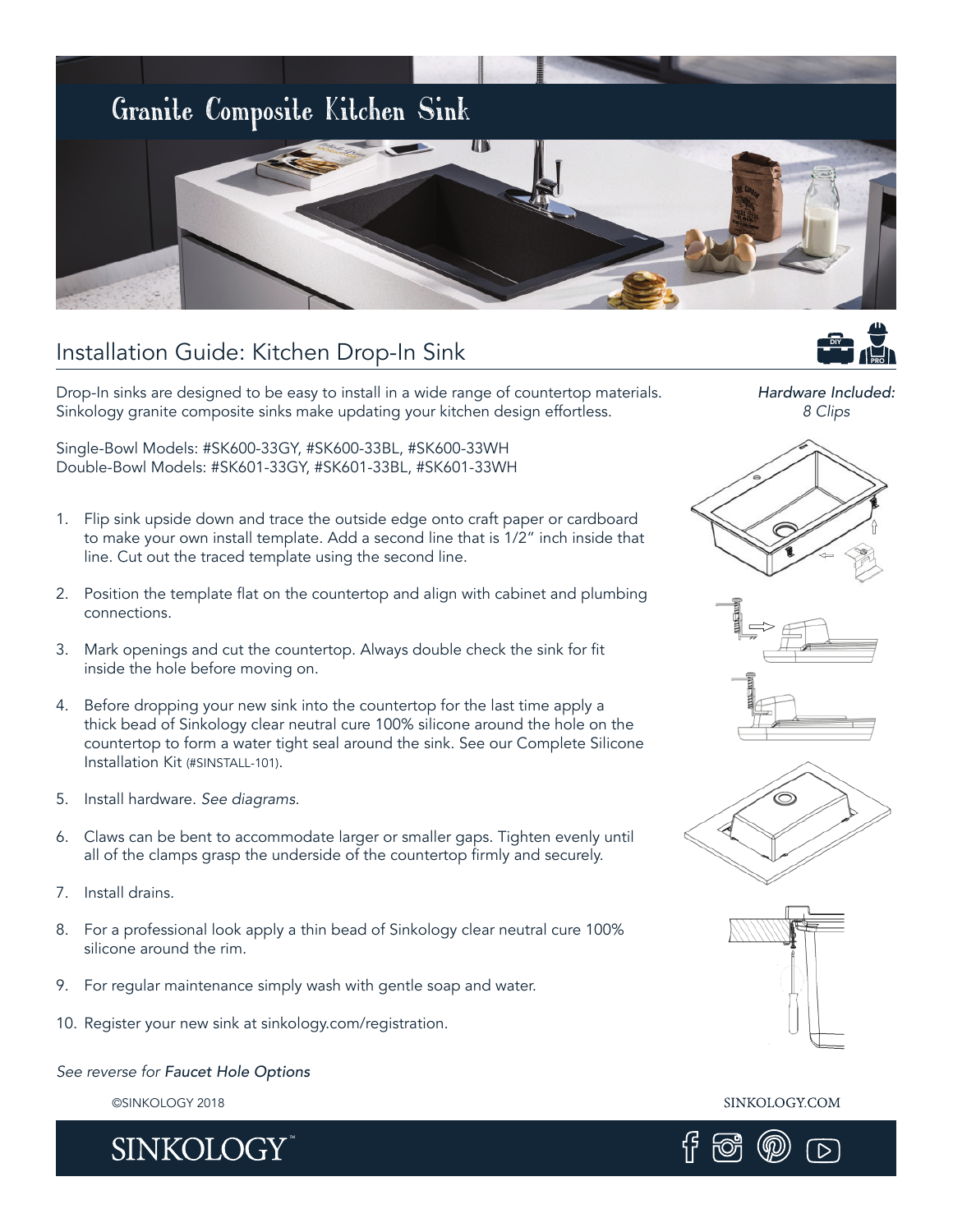

### Installation Guide: Kitchen Drop-In Sink

Drop-In sinks are designed to be easy to install in a wide range of countertop materials. Sinkology granite composite sinks make updating your kitchen design effortless.

Single-Bowl Models: #SK600-33GY, #SK600-33BL, #SK600-33WH Double-Bowl Models: #SK601-33GY, #SK601-33BL, #SK601-33WH

- 1. Flip sink upside down and trace the outside edge onto craft paper or cardboard to make your own install template. Add a second line that is 1/2" inch inside that line. Cut out the traced template using the second line.
- 2. Position the template flat on the countertop and align with cabinet and plumbing connections.
- 3. Mark openings and cut the countertop. Always double check the sink for fit inside the hole before moving on.
- 4. Before dropping your new sink into the countertop for the last time apply a thick bead of Sinkology clear neutral cure 100% silicone around the hole on the countertop to form a water tight seal around the sink. See our Complete Silicone Installation Kit (#SINSTALL-101).
- 5. Install hardware. *See diagrams.*
- 6. Claws can be bent to accommodate larger or smaller gaps. Tighten evenly until all of the clamps grasp the underside of the countertop firmly and securely.
- 7. Install drains.
- 8. For a professional look apply a thin bead of Sinkology clear neutral cure 100% silicone around the rim.
- 9. For regular maintenance simply wash with gentle soap and water.
- 10. Register your new sink at sinkology.com/registration.

#### *See reverse for Faucet Hole Options*

©SINKOLOGY 2018